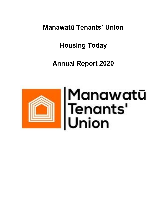**Manawatū Tenants' Union**

**Housing Today**

**Annual Report 2020**

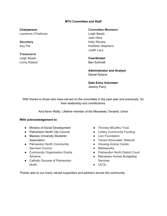# **MTU Committee and Staff**

**Chairperson** Lawrence O'Halloran

**Secretary** Izzy Pat

**Treasurer/s** Leigh Basile Lorna Ryland **Committee Members**

Leigh Basile Jean Hera Kelly Renata Kathleen Stephens Judith Lacy

**Coordinator** Ben Schmidt

**Administrator and Analyst** Daniel Ryland

**Data Entry Volunteer** Jeremy Parry

With thanks to those who have served on the committee in the past year and previously for their leadership and contributions.

And Kevin Reilly, Lifetime member of the Manawatu Tenants' Union

### **With acknowledgement to:**

- Ministry of Social Development
- Palmerston North City Council
- Massey University Students' Association
- Palmerston North Community Services Council,
- Community Organisation Grants Scheme,
- Catholic Diocese of Palmerston North,
- Thomas MCarthy Trust.
- Lottery Community Funding
- Lion Foundation
- Tenant Advocates' Network
- Housing Advice Centre
- Mediaworks
- Palmerston North District Court
- Manawatu Homes Budgeting **Services**
- UCOL

Thanks also to our many valued supporters and partners across the community.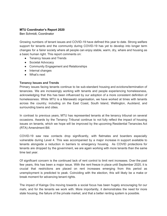# **MTU Coordinator's Report 2020**

Ben Schmidt, Coordinator

Growing numbers of tenant issues and COVID-19 have defined this year to date. Strong welfare support for tenants and the community during COVID-19 has yet to develop into longer term changes for a fairer society where all people can enjoy stable, warm, dry, whare and housing as a basic human right. This report comments on:

- Tenancy Issues and Trends
- Societal Advocacy
- Community Engagement and Relationships
- Internal changes
- What's next

## **Tenancy Issues and Trends**

Primary issues facing tenants continue to be sub-standard housing and evictions/termination of tenancies. We are increasingly working with tenants and people experiencing homelessness, acknowledging that this has been influenced by our adoption of a more consistent definition of homelessness. While MTU is a Manawatū organisation, we have worked at times with tenants across the country; including on the East Coast, South Island, Wellington, Auckland, and surrounding towns and cities.

In contrast to previous years, MTU has represented tenants at the tenancy tribunal on several occasions. Awards by the Tenancy Tribunal continue to not fully reflect the impact of housing issues on tenants, which we hope will be improved by the upcoming Residential Tenancies Act (RTA) Amendment Bill.

COVID-19 saw new contacts drop significantly, with flatmates and boarders especially vulnerable during Level 4. This was accompanied by a major increase in support available to tenants alongside a reduction in barriers to emergency housing. As COVID protections for tenants are dropped by the government, we are again working with more tenants than the same time last year.

Of significant concern is the continued lack of rent control to limit rent increases. Over the past few years, this has been a major issue. With the rent freeze in place until September 2020, it is crucial that restrictions are placed on rent increases emerging from this period as unemployment is predicted to peak. Coinciding with the election, this will likely be a make or break moment for advancing tenant rights.

The impact of Kainga Ora moving towards a social focus has been hugely encouraging for our mahi, and for the tenants we work with. More importantly, it demonstrates the need for more state housing, the failure of the private market, and that a better renting system is possible.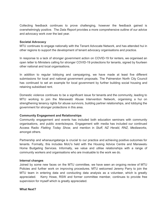Collecting feedback continues to prove challenging, however the feedback gained is overwhelmingly positive. The *Data Report* provides a more comprehensive outline of our advice and advocacy work over the last year.

### **Societal Advocacy**

MTU continues to engage nationally with the Tenant Advocate Network, and has attended hui in other regions to support the development of tenant advocacy organisations and practice.

In response to a lack of stronger government action on COVID-19 for renters, we organised an open letter to Ministers calling for stronger COVID-19 protections for tenants, signed by fourteen other national and local organisations.

In addition to regular lobbying and campaigning, we have made at least five different submissions for local and national government proposals. The Palmerston North City Council has continued to set an example for local government by further building social housing and retaining subsidised rent.

Domestic violence continues to be a significant issue for tenants and the community, leading to MTU working to join the Manawatū Abuse Intervention Network, organising a hui on strengthening tenancy rights for abuse survivors, building partner relationships, and lobbying the government for stronger protections in this area.

## **Community Engagement and Relationships**

Community engagement and events has included both education seminars with community organisations, and public events/expos. Engagement with media has included our continued Access Radio *Flatting Today Show,* and mention in *Stuff, NZ Herald, RNZ, Mediaworks,* amongst others.

Partnership and whanaungatanga is crucial to our practice and achieving positive outcomes for tenants. Formally, this includes MoU's held with the Housing Advice Centre and Manawatu Home Budgeting Services. Informally, we value and utilise relationships with a range of community workers and organisations who are invaluable to the work we do.

### **Internal changes**

Joined by some new faces on the MTU committee, we have seen an ongoing review of MTU Policies and further work on improving procedures. MTU welcomed Jeremy Parry to join the MTU team in entering data and conducting data analysis as a volunteer, which is greatly appreciated. Kerry Howe, RSW and former committee member, continues to provide free supervision for myself which is greatly appreciated.

## **What Next?**